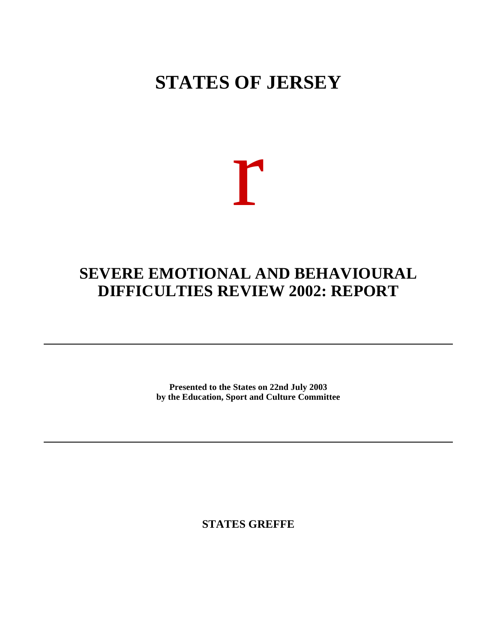## **STATES OF JERSEY**

# r

### **SEVERE EMOTIONAL AND BEHAVIOURAL DIFFICULTIES REVIEW 2002: REPORT**

**Presented to the States on 22nd July 2003 by the Education, Sport and Culture Committee**

**STATES GREFFE**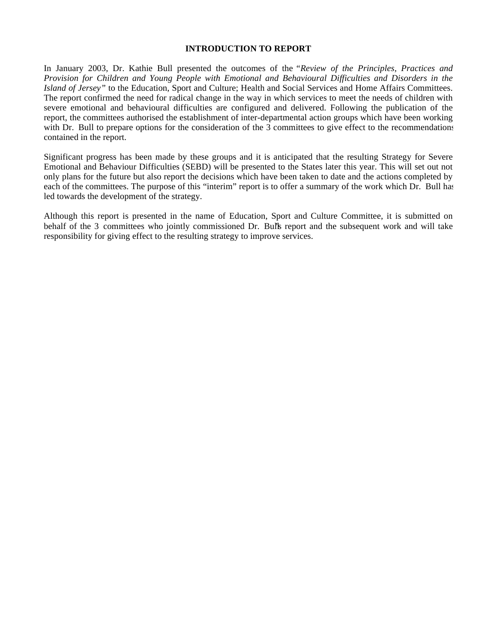#### **INTRODUCTION TO REPORT**

In January 2003, Dr. Kathie Bull presented the outcomes of the *"Review of the Principles, Practices and Provision for Children and Young People with Emotional and Behavioural Difficulties and Disorders in the Island of Jersey"* to the Education, Sport and Culture; Health and Social Services and Home Affairs Committees. The report confirmed the need for radical change in the way in which services to meet the needs of children with severe emotional and behavioural difficulties are configured and delivered. Following the publication of the report, the committees authorised the establishment of inter-departmental action groups which have been working with Dr. Bull to prepare options for the consideration of the 3 committees to give effect to the recommendations contained in the report.

Significant progress has been made by these groups and it is anticipated that the resulting Strategy for Severe Emotional and Behaviour Difficulties (SEBD) will be presented to the States later this year. This will set out not only plans for the future but also report the decisions which have been taken to date and the actions completed by each of the committees. The purpose of this "interim" report is to offer a summary of the work which Dr. Bull has led towards the development of the strategy.

Although this report is presented in the name of Education, Sport and Culture Committee, it is submitted on behalf of the 3 committees who jointly commissioned Dr. Bulls report and the subsequent work and will take responsibility for giving effect to the resulting strategy to improve services.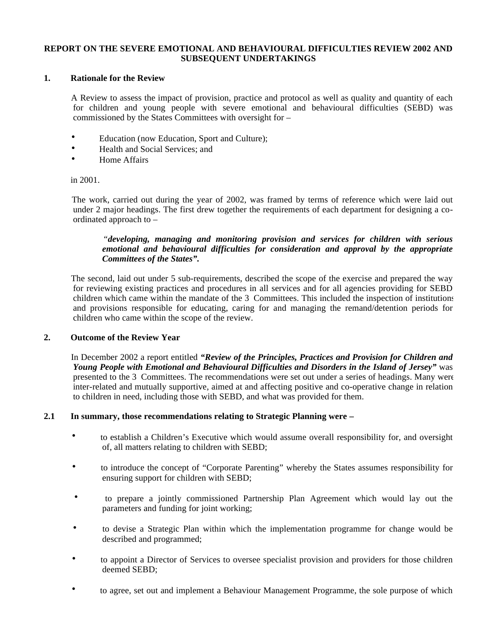#### **REPORT ON THE SEVERE EMOTIONAL AND BEHAVIOURAL DIFFICULTIES REVIEW 2002 AND SUBSEQUENT UNDERTAKINGS**

#### **1. Rationale for the Review**

 A Review to assess the impact of provision, practice and protocol as well as quality and quantity of each for children and young people with severe emotional and behavioural difficulties (SEBD) was commissioned by the States Committees with oversight for –

- Education (now Education, Sport and Culture);
- Health and Social Services: and
- Home Affairs

#### in 2001.

 The work, carried out during the year of 2002, was framed by terms of reference which were laid out under 2 major headings. The first drew together the requirements of each department for designing a coordinated approach to –

#### *"developing, managing and monitoring provision and services for children with serious emotional and behavioural difficulties for consideration and approval by the appropriate Committees of the States".*

 The second, laid out under 5 sub-requirements, described the scope of the exercise and prepared the way for reviewing existing practices and procedures in all services and for all agencies providing for SEBD children which came within the mandate of the 3 Committees. This included the inspection of institutions and provisions responsible for educating, caring for and managing the remand/detention periods for children who came within the scope of the review.

#### **2. Outcome of the Review Year**

 In December 2002 a report entitled *"Review of the Principles, Practices and Provision for Children and Young People with Emotional and Behavioural Difficulties and Disorders in the Island of Jersey"* was presented to the 3 Committees. The recommendations were set out under a series of headings. Many were inter-related and mutually supportive, aimed at and affecting positive and co-operative change in relation to children in need, including those with SEBD, and what was provided for them.

#### **2.1 In summary, those recommendations relating to Strategic Planning were –**

- to establish a Children's Executive which would assume overall responsibility for, and oversight of, all matters relating to children with SEBD;
- to introduce the concept of "Corporate Parenting" whereby the States assumes responsibility for ensuring support for children with SEBD;
- to prepare a jointly commissioned Partnership Plan Agreement which would lay out the parameters and funding for joint working;
- to devise a Strategic Plan within which the implementation programme for change would be described and programmed;
- to appoint a Director of Services to oversee specialist provision and providers for those children deemed SEBD;
- to agree, set out and implement a Behaviour Management Programme, the sole purpose of which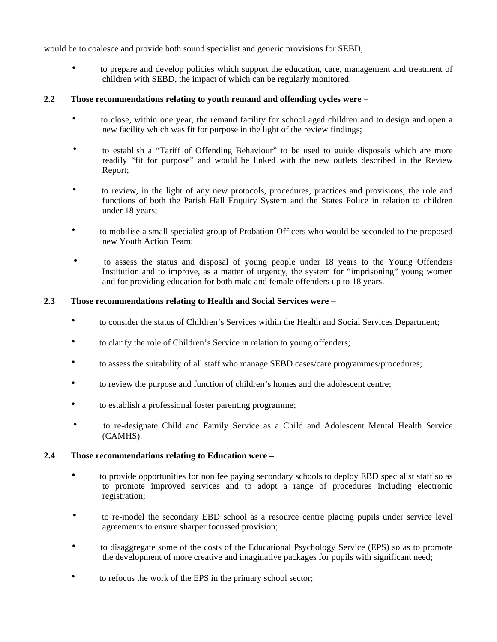would be to coalesce and provide both sound specialist and generic provisions for SEBD;

 • to prepare and develop policies which support the education, care, management and treatment of children with SEBD, the impact of which can be regularly monitored.

#### **2.2 Those recommendations relating to youth remand and offending cycles were –**

- to close, within one year, the remand facility for school aged children and to design and open a new facility which was fit for purpose in the light of the review findings;
- to establish a "Tariff of Offending Behaviour" to be used to guide disposals which are more readily "fit for purpose" and would be linked with the new outlets described in the Review Report;
- to review, in the light of any new protocols, procedures, practices and provisions, the role and functions of both the Parish Hall Enquiry System and the States Police in relation to children under 18 years;
- to mobilise a small specialist group of Probation Officers who would be seconded to the proposed new Youth Action Team;
- to assess the status and disposal of young people under 18 years to the Young Offenders Institution and to improve, as a matter of urgency, the system for "imprisoning" young women and for providing education for both male and female offenders up to 18 years.

#### **2.3 Those recommendations relating to Health and Social Services were –**

- to consider the status of Children's Services within the Health and Social Services Department;
- to clarify the role of Children's Service in relation to young offenders;
- to assess the suitability of all staff who manage SEBD cases/care programmes/procedures;
- to review the purpose and function of children's homes and the adolescent centre;
- to establish a professional foster parenting programme;
- to re-designate Child and Family Service as a Child and Adolescent Mental Health Service (CAMHS).

#### **2.4 Those recommendations relating to Education were –**

- to provide opportunities for non fee paying secondary schools to deploy EBD specialist staff so as to promote improved services and to adopt a range of procedures including electronic registration;
- to re-model the secondary EBD school as a resource centre placing pupils under service level agreements to ensure sharper focussed provision;
- to disaggregate some of the costs of the Educational Psychology Service (EPS) so as to promote the development of more creative and imaginative packages for pupils with significant need;
- to refocus the work of the EPS in the primary school sector;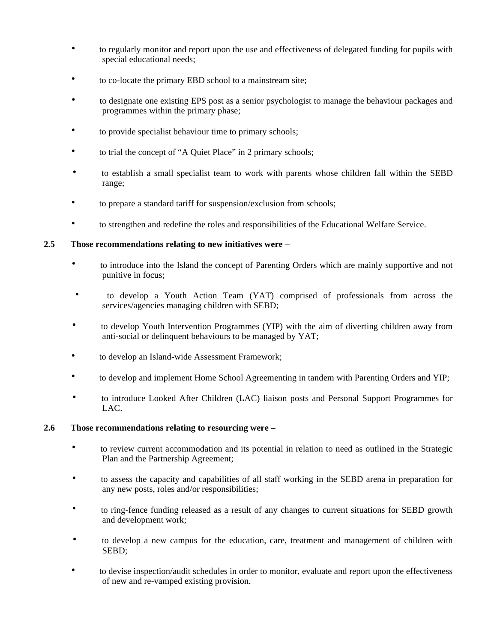- to regularly monitor and report upon the use and effectiveness of delegated funding for pupils with special educational needs;
- to co-locate the primary EBD school to a mainstream site;
- to designate one existing EPS post as a senior psychologist to manage the behaviour packages and programmes within the primary phase;
- to provide specialist behaviour time to primary schools;
- to trial the concept of "A Quiet Place" in 2 primary schools;
- to establish a small specialist team to work with parents whose children fall within the SEBD range;
- to prepare a standard tariff for suspension/exclusion from schools;
- to strengthen and redefine the roles and responsibilities of the Educational Welfare Service.

#### **2.5 Those recommendations relating to new initiatives were –**

- to introduce into the Island the concept of Parenting Orders which are mainly supportive and not punitive in focus;
- to develop a Youth Action Team (YAT) comprised of professionals from across the services/agencies managing children with SEBD;
- to develop Youth Intervention Programmes (YIP) with the aim of diverting children away from anti-social or delinquent behaviours to be managed by YAT;
- to develop an Island-wide Assessment Framework;
- to develop and implement Home School Agreementing in tandem with Parenting Orders and YIP;
- to introduce Looked After Children (LAC) liaison posts and Personal Support Programmes for LAC.

#### **2.6 Those recommendations relating to resourcing were –**

- to review current accommodation and its potential in relation to need as outlined in the Strategic Plan and the Partnership Agreement;
- to assess the capacity and capabilities of all staff working in the SEBD arena in preparation for any new posts, roles and/or responsibilities;
- to ring-fence funding released as a result of any changes to current situations for SEBD growth and development work;
- to develop a new campus for the education, care, treatment and management of children with SEBD;
- to devise inspection/audit schedules in order to monitor, evaluate and report upon the effectiveness of new and re-vamped existing provision.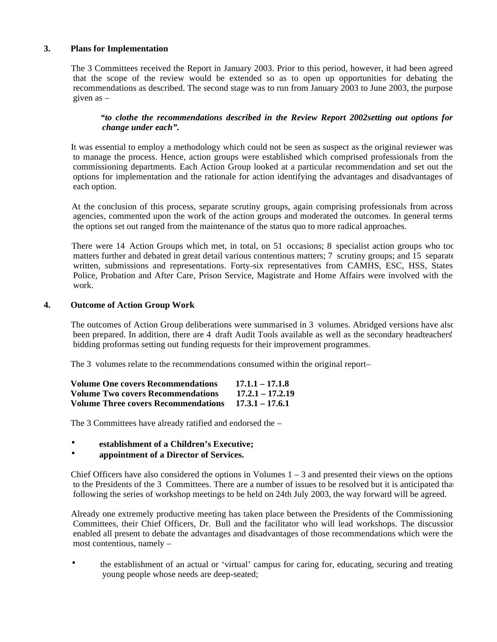#### **3. Plans for Implementation**

 The 3 Committees received the Report in January 2003. Prior to this period, however, it had been agreed that the scope of the review would be extended so as to open up opportunities for debating the recommendations as described. The second stage was to run from January 2003 to June 2003, the purpose given as –

#### *"to clothe the recommendations described in the Review Report 2002setting out options for change under each".*

 It was essential to employ a methodology which could not be seen as suspect as the original reviewer was to manage the process. Hence, action groups were established which comprised professionals from the commissioning departments. Each Action Group looked at a particular recommendation and set out the options for implementation and the rationale for action identifying the advantages and disadvantages of each option.

 At the conclusion of this process, separate scrutiny groups, again comprising professionals from across agencies, commented upon the work of the action groups and moderated the outcomes. In general terms the options set out ranged from the maintenance of the status quo to more radical approaches.

There were 14 Action Groups which met, in total, on 51 occasions; 8 specialist action groups who too matters further and debated in great detail various contentious matters; 7 scrutiny groups; and 15 separate written, submissions and representations. Forty-six representatives from CAMHS, ESC, HSS, States Police, Probation and After Care, Prison Service, Magistrate and Home Affairs were involved with the work.

#### **4. Outcome of Action Group Work**

The outcomes of Action Group deliberations were summarised in 3 volumes. Abridged versions have also been prepared. In addition, there are 4 draft Audit Tools available as well as the secondary headteachers' bidding proformas setting out funding requests for their improvement programmes.

The 3 volumes relate to the recommendations consumed within the original report-

| <b>Volume One covers Recommendations</b>   | $17.1.1 - 17.1.8$  |
|--------------------------------------------|--------------------|
| <b>Volume Two covers Recommendations</b>   | $17.2.1 - 17.2.19$ |
| <b>Volume Three covers Recommendations</b> | $17.3.1 - 17.6.1$  |

The 3 Committees have already ratified and endorsed the –

- **establishment of a Children's Executive;**
- **appointment of a Director of Services.**

Chief Officers have also considered the options in Volumes  $1 - 3$  and presented their views on the options to the Presidents of the 3 Committees. There are a number of issues to be resolved but it is anticipated that following the series of workshop meetings to be held on 24th July 2003, the way forward will be agreed.

 Already one extremely productive meeting has taken place between the Presidents of the Commissioning Committees, their Chief Officers, Dr. Bull and the facilitator who will lead workshops. The discussion enabled all present to debate the advantages and disadvantages of those recommendations which were the most contentious, namely –

 • the establishment of an actual or 'virtual' campus for caring for, educating, securing and treating young people whose needs are deep-seated;